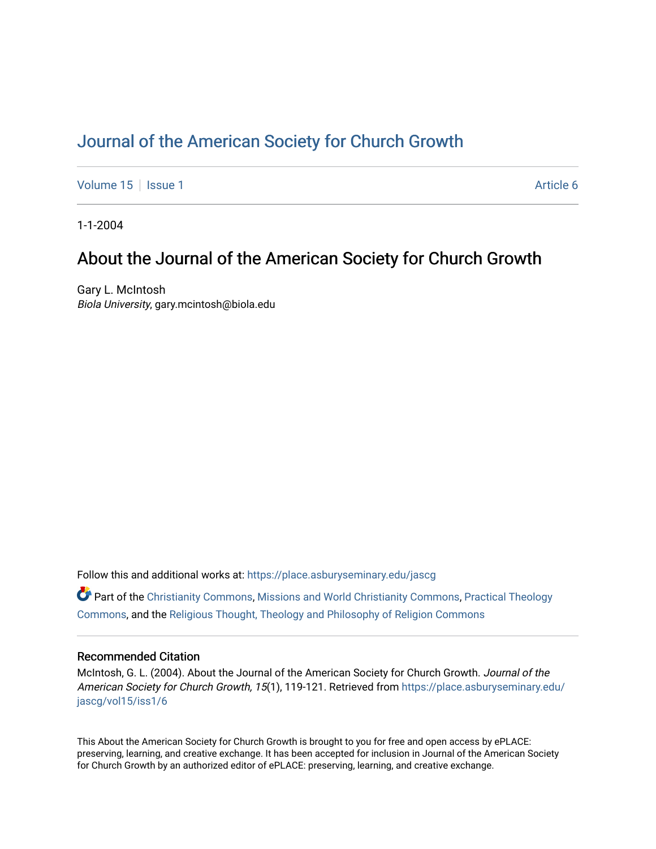# [Journal of the American Society for Church Growth](https://place.asburyseminary.edu/jascg)

[Volume 15](https://place.asburyseminary.edu/jascg/vol15) | [Issue 1](https://place.asburyseminary.edu/jascg/vol15/iss1) Article 6

1-1-2004

# About the Journal of the American Society for Church Growth

Gary L. McIntosh Biola University, gary.mcintosh@biola.edu

Follow this and additional works at: [https://place.asburyseminary.edu/jascg](https://place.asburyseminary.edu/jascg?utm_source=place.asburyseminary.edu%2Fjascg%2Fvol15%2Fiss1%2F6&utm_medium=PDF&utm_campaign=PDFCoverPages)

 $\bullet$  Part of the [Christianity Commons,](https://network.bepress.com/hgg/discipline/1181?utm_source=place.asburyseminary.edu%2Fjascg%2Fvol15%2Fiss1%2F6&utm_medium=PDF&utm_campaign=PDFCoverPages) [Missions and World Christianity Commons](https://network.bepress.com/hgg/discipline/1187?utm_source=place.asburyseminary.edu%2Fjascg%2Fvol15%2Fiss1%2F6&utm_medium=PDF&utm_campaign=PDFCoverPages), Practical Theology [Commons](https://network.bepress.com/hgg/discipline/1186?utm_source=place.asburyseminary.edu%2Fjascg%2Fvol15%2Fiss1%2F6&utm_medium=PDF&utm_campaign=PDFCoverPages), and the [Religious Thought, Theology and Philosophy of Religion Commons](https://network.bepress.com/hgg/discipline/544?utm_source=place.asburyseminary.edu%2Fjascg%2Fvol15%2Fiss1%2F6&utm_medium=PDF&utm_campaign=PDFCoverPages) 

## Recommended Citation

McIntosh, G. L. (2004). About the Journal of the American Society for Church Growth. Journal of the American Society for Church Growth, 15(1), 119-121. Retrieved from [https://place.asburyseminary.edu/](https://place.asburyseminary.edu/jascg/vol15/iss1/6?utm_source=place.asburyseminary.edu%2Fjascg%2Fvol15%2Fiss1%2F6&utm_medium=PDF&utm_campaign=PDFCoverPages) [jascg/vol15/iss1/6](https://place.asburyseminary.edu/jascg/vol15/iss1/6?utm_source=place.asburyseminary.edu%2Fjascg%2Fvol15%2Fiss1%2F6&utm_medium=PDF&utm_campaign=PDFCoverPages)

This About the American Society for Church Growth is brought to you for free and open access by ePLACE: preserving, learning, and creative exchange. It has been accepted for inclusion in Journal of the American Society for Church Growth by an authorized editor of ePLACE: preserving, learning, and creative exchange.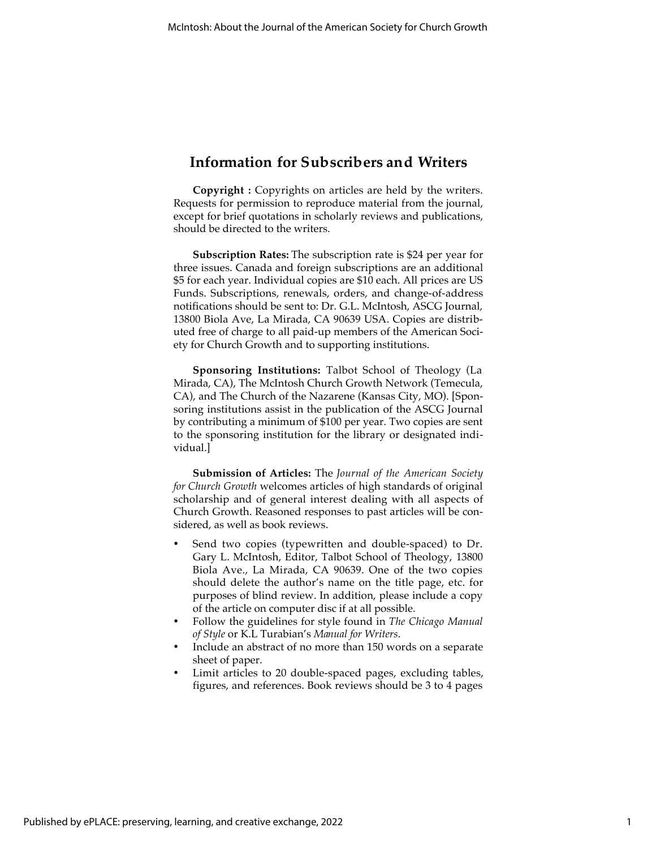## **Information for Subscribers and Writers**

**Copyright :** Copyrights on articles are held by the writers. Requests for permission to reproduce material from the journal, except for brief quotations in scholarly reviews and publications, should be directed to the writers.

**Subscription Rates:** The subscription rate is \$24 per year for three issues. Canada and foreign subscriptions are an additional \$5 for each year. Individual copies are \$10 each. All prices are US Funds. Subscriptions, renewals, orders, and change-of-address notifications should be sent to: Dr. G.L. McIntosh, ASCG Journal, 13800 Biola Ave, La Mirada, CA 90639 USA. Copies are distributed free of charge to all paid-up members of the American Society for Church Growth and to supporting institutions.

**Sponsoring Institutions:** Talbot School of Theology (La Mirada, CA), The McIntosh Church Growth Network (Temecula, CA), and The Church of the Nazarene (Kansas City, MO). [Sponsoring institutions assist in the publication of the ASCG Journal by contributing a minimum of \$100 per year. Two copies are sent to the sponsoring institution for the library or designated individual.]

**Submission of Articles:** The *Journal of the American Society for Church Growth* welcomes articles of high standards of original scholarship and of general interest dealing with all aspects of Church Growth. Reasoned responses to past articles will be considered, as well as book reviews.

- Send two copies (typewritten and double-spaced) to Dr. Gary L. McIntosh, Editor, Talbot School of Theology, 13800 Biola Ave., La Mirada, CA 90639. One of the two copies should delete the author's name on the title page, etc. for purposes of blind review. In addition, please include a copy of the article on computer disc if at all possible.
- Follow the guidelines for style found in *The Chicago Manual of Style* or K.L Turabian's *Manual for Writers*.
- Include an abstract of no more than 150 words on a separate sheet of paper.
- Limit articles to 20 double-spaced pages, excluding tables, figures, and references. Book reviews should be 3 to 4 pages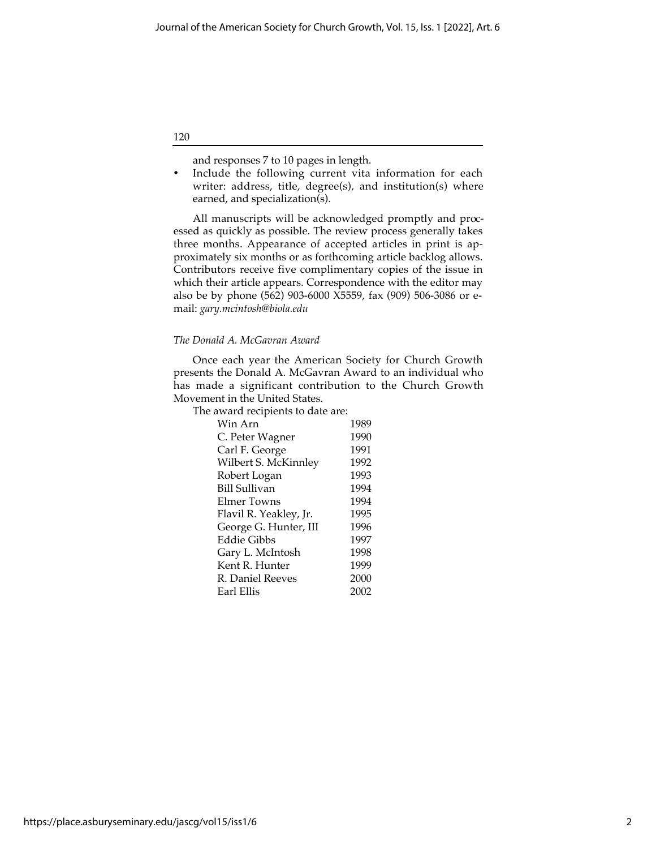and responses 7 to 10 pages in length.

Include the following current vita information for each writer: address, title, degree(s), and institution(s) where earned, and specialization(s).

All manuscripts will be acknowledged promptly and processed as quickly as possible. The review process generally takes three months. Appearance of accepted articles in print is approximately six months or as forthcoming article backlog allows. Contributors receive five complimentary copies of the issue in which their article appears. Correspondence with the editor may also be by phone (562) 903-6000 X5559, fax (909) 506-3086 or email: *gary.mcintosh@biola.edu*

### *The Donald A. McGavran Award*

Once each year the American Society for Church Growth presents the Donald A. McGavran Award to an individual who has made a significant contribution to the Church Growth Movement in the United States.

The award recipients to date are:

| 1989 |
|------|
| 1990 |
| 1991 |
| 1992 |
| 1993 |
| 1994 |
| 1994 |
| 1995 |
| 1996 |
| 1997 |
| 1998 |
| 1999 |
| 2000 |
| 2002 |
|      |